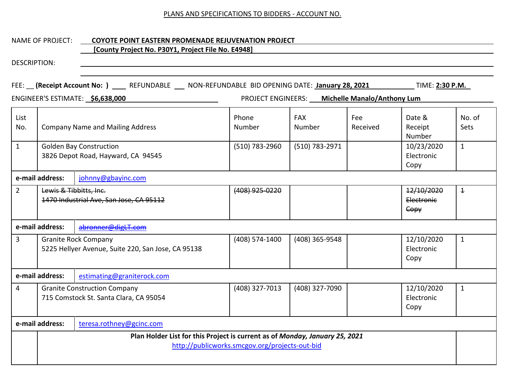#### NAME OF PROJECT: **COYOTE POINT EASTERN PROMENADE REJUVENATION PROJECT**

# **[County Project No. P30Y1, Project File No. E4948]**

|                                             | FEE: (Receipt Account No: ) ____ REFUNDABLE ___ NON-REFUNDABLE BID OPENING DATE: January 28, 2021<br>TIME: 2:30 P.M. |                                                                                   |                                                |                                                |                 |                                  |                       |
|---------------------------------------------|----------------------------------------------------------------------------------------------------------------------|-----------------------------------------------------------------------------------|------------------------------------------------|------------------------------------------------|-----------------|----------------------------------|-----------------------|
|                                             |                                                                                                                      | ENGINEER'S ESTIMATE: \$6,638,000                                                  |                                                | PROJECT ENGINEERS: Michelle Manalo/Anthony Lum |                 |                                  |                       |
| List<br>No.                                 | <b>Company Name and Mailing Address</b>                                                                              |                                                                                   | Phone<br>Number                                | <b>FAX</b><br>Number                           | Fee<br>Received | Date &<br>Receipt<br>Number      | No. of<br><b>Sets</b> |
| $\mathbf{1}$                                | <b>Golden Bay Construction</b><br>3826 Depot Road, Hayward, CA 94545                                                 |                                                                                   | (510) 783-2960                                 | (510) 783-2971                                 |                 | 10/23/2020<br>Electronic<br>Copy | $\mathbf{1}$          |
| e-mail address:<br>johnny@gbayinc.com       |                                                                                                                      |                                                                                   |                                                |                                                |                 |                                  |                       |
| $2^{\circ}$                                 | Lewis & Tibbitts, Inc.                                                                                               | 1470 Industrial Ave, San Jose, CA 95112                                           | (408) 925-0220                                 |                                                |                 | 12/10/2020<br>Electronic<br>Copy | $\overline{1}$        |
|                                             | e-mail address:                                                                                                      | abronner@digLT.com                                                                |                                                |                                                |                 |                                  |                       |
| 3                                           |                                                                                                                      | <b>Granite Rock Company</b><br>5225 Hellyer Avenue, Suite 220, San Jose, CA 95138 | (408) 574-1400                                 | (408) 365-9548                                 |                 | 12/10/2020<br>Electronic<br>Copy | $\mathbf{1}$          |
|                                             | e-mail address:                                                                                                      | estimating@graniterock.com                                                        |                                                |                                                |                 |                                  |                       |
| 4                                           |                                                                                                                      | <b>Granite Construction Company</b><br>715 Comstock St. Santa Clara, CA 95054     | (408) 327-7013                                 | (408) 327-7090                                 |                 | 12/10/2020<br>Electronic<br>Copy | $\mathbf{1}$          |
| e-mail address:<br>teresa.rothney@gcinc.com |                                                                                                                      |                                                                                   |                                                |                                                |                 |                                  |                       |
|                                             |                                                                                                                      | Plan Holder List for this Project is current as of Monday, January 25, 2021       | http://publicworks.smcgov.org/projects-out-bid |                                                |                 |                                  |                       |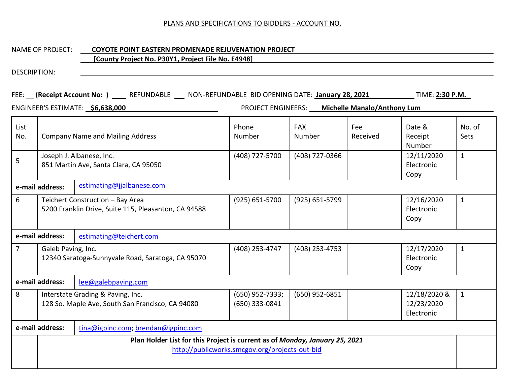# NAME OF PROJECT: **COYOTE POINT EASTERN PROMENADE REJUVENATION PROJECT [County Project No. P30Y1, Project File No. E4948]**

|                |                                                                   | FEE: (Receipt Account No: ) _____ REFUNDABLE ____ NON-REFUNDABLE BID OPENING DATE: January 28, 2021<br>ENGINEER'S ESTIMATE: \$6,638,000 |                                                | PROJECT ENGINEERS: Michelle Manalo/Anthony Lum |  | TIME: 2:30 P.M.                          |                |
|----------------|-------------------------------------------------------------------|-----------------------------------------------------------------------------------------------------------------------------------------|------------------------------------------------|------------------------------------------------|--|------------------------------------------|----------------|
| List<br>No.    | <b>Company Name and Mailing Address</b>                           |                                                                                                                                         | Phone<br>Number                                | <b>FAX</b><br>Fee<br>Received<br>Number        |  | Date &<br>Receipt<br>Number              | No. of<br>Sets |
| 5              | Joseph J. Albanese, Inc.<br>851 Martin Ave, Santa Clara, CA 95050 |                                                                                                                                         | (408) 727-5700                                 | (408) 727-0366                                 |  | 12/11/2020<br>Electronic<br>Copy         | $\mathbf{1}$   |
|                | e-mail address:                                                   | estimating@jjalbanese.com                                                                                                               |                                                |                                                |  |                                          |                |
| 6              |                                                                   | Teichert Construction - Bay Area<br>5200 Franklin Drive, Suite 115, Pleasanton, CA 94588                                                | $(925) 651 - 5700$                             | (925) 651-5799                                 |  | 12/16/2020<br>Electronic<br>Copy         | $\mathbf{1}$   |
|                | e-mail address:                                                   | estimating@teichert.com                                                                                                                 |                                                |                                                |  |                                          |                |
| $\overline{7}$ | Galeb Paving, Inc.                                                | 12340 Saratoga-Sunnyvale Road, Saratoga, CA 95070                                                                                       | (408) 253-4747                                 | (408) 253-4753                                 |  | 12/17/2020<br>Electronic<br>Copy         | $\mathbf{1}$   |
|                | e-mail address:                                                   | lee@galebpaving.com                                                                                                                     |                                                |                                                |  |                                          |                |
| 8              |                                                                   | Interstate Grading & Paving, Inc.<br>128 So. Maple Ave, South San Francisco, CA 94080                                                   | (650) 952-7333;<br>(650) 333-0841              | (650) 952-6851                                 |  | 12/18/2020 &<br>12/23/2020<br>Electronic | $\mathbf{1}$   |
|                | e-mail address:                                                   | tina@igpinc.com; brendan@igpinc.com                                                                                                     |                                                |                                                |  |                                          |                |
|                |                                                                   | Plan Holder List for this Project is current as of Monday, January 25, 2021                                                             | http://publicworks.smcgov.org/projects-out-bid |                                                |  |                                          |                |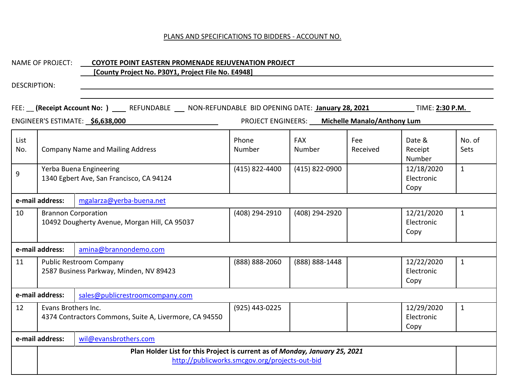## NAME OF PROJECT: **COYOTE POINT EASTERN PROMENADE REJUVENATION PROJECT**

# **[County Project No. P30Y1, Project File No. E4948]**

|             |                                                                     | FEE: (Receipt Account No: ) ____ REFUNDABLE ___ NON-REFUNDABLE BID OPENING DATE: January 28, 2021 |                                                |                                                |  | TIME: 2:30 P.M.                  |                |
|-------------|---------------------------------------------------------------------|---------------------------------------------------------------------------------------------------|------------------------------------------------|------------------------------------------------|--|----------------------------------|----------------|
|             |                                                                     | ENGINEER'S ESTIMATE: \$6,638,000                                                                  |                                                | PROJECT ENGINEERS: Michelle Manalo/Anthony Lum |  |                                  |                |
| List<br>No. | <b>Company Name and Mailing Address</b>                             |                                                                                                   | Phone<br>Number                                | <b>FAX</b><br>Fee<br>Number<br>Received        |  | Date &<br>Receipt<br>Number      | No. of<br>Sets |
| 9           | Yerba Buena Engineering<br>1340 Egbert Ave, San Francisco, CA 94124 |                                                                                                   | (415) 822-4400                                 | (415) 822-0900                                 |  | 12/18/2020<br>Electronic<br>Copy | $\mathbf{1}$   |
|             | e-mail address:                                                     | mgalarza@yerba-buena.net                                                                          |                                                |                                                |  |                                  |                |
| 10          |                                                                     | <b>Brannon Corporation</b><br>10492 Dougherty Avenue, Morgan Hill, CA 95037                       | (408) 294-2910                                 | (408) 294-2920                                 |  | 12/21/2020<br>Electronic<br>Copy | $\mathbf{1}$   |
|             | e-mail address:                                                     | amina@brannondemo.com                                                                             |                                                |                                                |  |                                  |                |
| 11          |                                                                     | <b>Public Restroom Company</b><br>2587 Business Parkway, Minden, NV 89423                         | (888) 888-2060                                 | (888) 888-1448                                 |  | 12/22/2020<br>Electronic<br>Copy | $\mathbf{1}$   |
|             | e-mail address:                                                     | sales@publicrestroomcompany.com                                                                   |                                                |                                                |  |                                  |                |
| 12          | Evans Brothers Inc.                                                 | 4374 Contractors Commons, Suite A, Livermore, CA 94550                                            | (925) 443-0225                                 |                                                |  | 12/29/2020<br>Electronic<br>Copy | $\mathbf{1}$   |
|             | e-mail address:                                                     | wil@evansbrothers.com                                                                             |                                                |                                                |  |                                  |                |
|             |                                                                     | Plan Holder List for this Project is current as of Monday, January 25, 2021                       | http://publicworks.smcgov.org/projects-out-bid |                                                |  |                                  |                |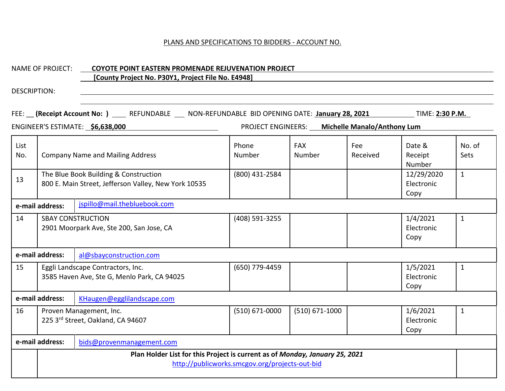|              | <b>NAME OF PROJECT:</b>                                                                                                       | <b>COYOTE POINT EASTERN PROMENADE REJUVENATION PROJECT</b><br>[County Project No. P30Y1, Project File No. E4948]             |                    |                                                |                 |                                  |                |  |
|--------------|-------------------------------------------------------------------------------------------------------------------------------|------------------------------------------------------------------------------------------------------------------------------|--------------------|------------------------------------------------|-----------------|----------------------------------|----------------|--|
| DESCRIPTION: |                                                                                                                               |                                                                                                                              |                    |                                                |                 |                                  |                |  |
|              |                                                                                                                               | FEE: (Receipt Account No: ) REFUNDABLE NON-REFUNDABLE BID OPENING DATE: January 28, 2021<br>ENGINEER'S ESTIMATE: \$6,638,000 |                    | PROJECT ENGINEERS: Michelle Manalo/Anthony Lum |                 | TIME: 2:30 P.M.                  |                |  |
| List<br>No.  |                                                                                                                               | <b>Company Name and Mailing Address</b>                                                                                      | Phone<br>Number    | <b>FAX</b><br>Number                           | Fee<br>Received | Date &<br>Receipt<br>Number      | No. of<br>Sets |  |
| 13           |                                                                                                                               | The Blue Book Building & Construction<br>800 E. Main Street, Jefferson Valley, New York 10535                                | (800) 431-2584     |                                                |                 | 12/29/2020<br>Electronic<br>Copy | $\mathbf{1}$   |  |
|              | jspillo@mail.thebluebook.com<br>e-mail address:                                                                               |                                                                                                                              |                    |                                                |                 |                                  |                |  |
| 14           |                                                                                                                               | <b>SBAY CONSTRUCTION</b><br>2901 Moorpark Ave, Ste 200, San Jose, CA                                                         | (408) 591-3255     |                                                |                 | 1/4/2021<br>Electronic<br>Copy   | $\mathbf{1}$   |  |
|              | e-mail address:                                                                                                               | al@sbayconstruction.com                                                                                                      |                    |                                                |                 |                                  |                |  |
| 15           |                                                                                                                               | Eggli Landscape Contractors, Inc.<br>3585 Haven Ave, Ste G, Menlo Park, CA 94025                                             | (650) 779-4459     |                                                |                 | 1/5/2021<br>Electronic<br>Copy   | $\mathbf{1}$   |  |
|              | e-mail address:                                                                                                               | KHaugen@egglilandscape.com                                                                                                   |                    |                                                |                 |                                  |                |  |
| 16           |                                                                                                                               | Proven Management, Inc.<br>225 3rd Street, Oakland, CA 94607                                                                 | $(510) 671 - 0000$ | $(510) 671 - 1000$                             |                 | 1/6/2021<br>Electronic<br>Copy   | $\mathbf{1}$   |  |
|              | e-mail address:                                                                                                               | bids@provenmanagement.com                                                                                                    |                    |                                                |                 |                                  |                |  |
|              | Plan Holder List for this Project is current as of Monday, January 25, 2021<br>http://publicworks.smcgov.org/projects-out-bid |                                                                                                                              |                    |                                                |                 |                                  |                |  |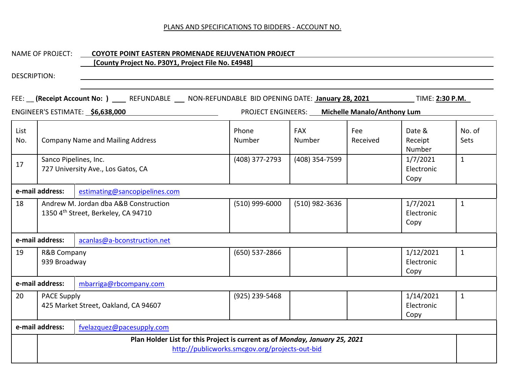#### NAME OF PROJECT: **COYOTE POINT EASTERN PROMENADE REJUVENATION PROJECT**

# **[County Project No. P30Y1, Project File No. E4948]**

|                                                  | FEE: (Receipt Account No: ) ____ REFUNDABLE ___ NON-REFUNDABLE BID OPENING DATE: January 28, 2021<br>. TIME: <u>2:30 P.M. </u><br>ENGINEER'S ESTIMATE: \$6,638,000<br>PROJECT ENGINEERS: Michelle Manalo/Anthony Lum |                                                                              |                                   |                                        |                 |                                         |                                |
|--------------------------------------------------|----------------------------------------------------------------------------------------------------------------------------------------------------------------------------------------------------------------------|------------------------------------------------------------------------------|-----------------------------------|----------------------------------------|-----------------|-----------------------------------------|--------------------------------|
| List<br>No.                                      | <b>Company Name and Mailing Address</b><br>Sanco Pipelines, Inc.                                                                                                                                                     |                                                                              | Phone<br>Number<br>(408) 377-2793 | <b>FAX</b><br>Number<br>(408) 354-7599 | Fee<br>Received | Date &<br>Receipt<br>Number<br>1/7/2021 | No. of<br>Sets<br>$\mathbf{1}$ |
| 17                                               |                                                                                                                                                                                                                      | 727 University Ave., Los Gatos, CA                                           |                                   |                                        |                 | Electronic<br>Copy                      |                                |
| e-mail address:<br>estimating@sancopipelines.com |                                                                                                                                                                                                                      |                                                                              |                                   |                                        |                 |                                         |                                |
| 18                                               |                                                                                                                                                                                                                      | Andrew M. Jordan dba A&B Construction<br>1350 4th Street, Berkeley, CA 94710 | (510) 999-6000                    | (510) 982-3636                         |                 | 1/7/2021<br>Electronic<br>Copy          | $\mathbf{1}$                   |
|                                                  | e-mail address:                                                                                                                                                                                                      | acanlas@a-bconstruction.net                                                  |                                   |                                        |                 |                                         |                                |
| 19                                               | R&B Company<br>939 Broadway                                                                                                                                                                                          |                                                                              | (650) 537-2866                    |                                        |                 | 1/12/2021<br>Electronic<br>Copy         | $\mathbf{1}$                   |
|                                                  | e-mail address:                                                                                                                                                                                                      | mbarriga@rbcompany.com                                                       |                                   |                                        |                 |                                         |                                |
| 20                                               | <b>PACE Supply</b>                                                                                                                                                                                                   | 425 Market Street, Oakland, CA 94607                                         | (925) 239-5468                    |                                        |                 | 1/14/2021<br>Electronic<br>Copy         | $\mathbf{1}$                   |
|                                                  | e-mail address:<br>fvelazquez@pacesupply.com                                                                                                                                                                         |                                                                              |                                   |                                        |                 |                                         |                                |
|                                                  | Plan Holder List for this Project is current as of Monday, January 25, 2021<br>http://publicworks.smcgov.org/projects-out-bid                                                                                        |                                                                              |                                   |                                        |                 |                                         |                                |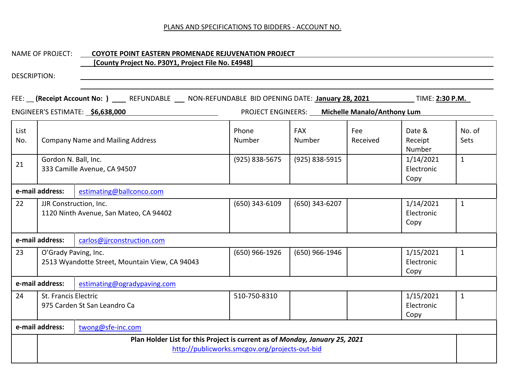#### NAME OF PROJECT: **COYOTE POINT EASTERN PROMENADE REJUVENATION PROJECT**

# **[County Project No. P30Y1, Project File No. E4948]**

|             |                                                                                                                               | FEE: (Receipt Account No: ) ____ REFUNDABLE ___ NON-REFUNDABLE BID OPENING DATE: January 28, 2021 ___________ TIME: 2:30 P.M.<br>ENGINEER'S ESTIMATE: \$6,638,000 |                | PROJECT ENGINEERS: Michelle Manalo/Anthony Lum |                 |                                 |                |
|-------------|-------------------------------------------------------------------------------------------------------------------------------|-------------------------------------------------------------------------------------------------------------------------------------------------------------------|----------------|------------------------------------------------|-----------------|---------------------------------|----------------|
| List<br>No. |                                                                                                                               | <b>Company Name and Mailing Address</b>                                                                                                                           |                | <b>FAX</b><br>Number                           | Fee<br>Received | Date &<br>Receipt<br>Number     | No. of<br>Sets |
| 21          |                                                                                                                               | Gordon N. Ball, Inc.<br>333 Camille Avenue, CA 94507                                                                                                              |                | (925) 838-5915                                 |                 | 1/14/2021<br>Electronic<br>Copy | $\mathbf{1}$   |
|             | e-mail address:                                                                                                               | estimating@ballconco.com                                                                                                                                          |                |                                                |                 |                                 |                |
| 22          |                                                                                                                               | JJR Construction, Inc.<br>1120 Ninth Avenue, San Mateo, CA 94402                                                                                                  | (650) 343-6109 | (650) 343-6207                                 |                 | 1/14/2021<br>Electronic<br>Copy | $\mathbf{1}$   |
|             | e-mail address:                                                                                                               | carlos@jjrconstruction.com                                                                                                                                        |                |                                                |                 |                                 |                |
| 23          | O'Grady Paving, Inc.<br>2513 Wyandotte Street, Mountain View, CA 94043                                                        |                                                                                                                                                                   | (650) 966-1926 | (650) 966-1946                                 |                 | 1/15/2021<br>Electronic<br>Copy | $\mathbf{1}$   |
|             | e-mail address:                                                                                                               | estimating@ogradypaving.com                                                                                                                                       |                |                                                |                 |                                 |                |
| 24          | St. Francis Electric                                                                                                          | 975 Carden St San Leandro Ca                                                                                                                                      | 510-750-8310   |                                                |                 | 1/15/2021<br>Electronic<br>Copy | $\mathbf{1}$   |
|             | e-mail address:<br>twong@sfe-inc.com                                                                                          |                                                                                                                                                                   |                |                                                |                 |                                 |                |
|             | Plan Holder List for this Project is current as of Monday, January 25, 2021<br>http://publicworks.smcgov.org/projects-out-bid |                                                                                                                                                                   |                |                                                |                 |                                 |                |